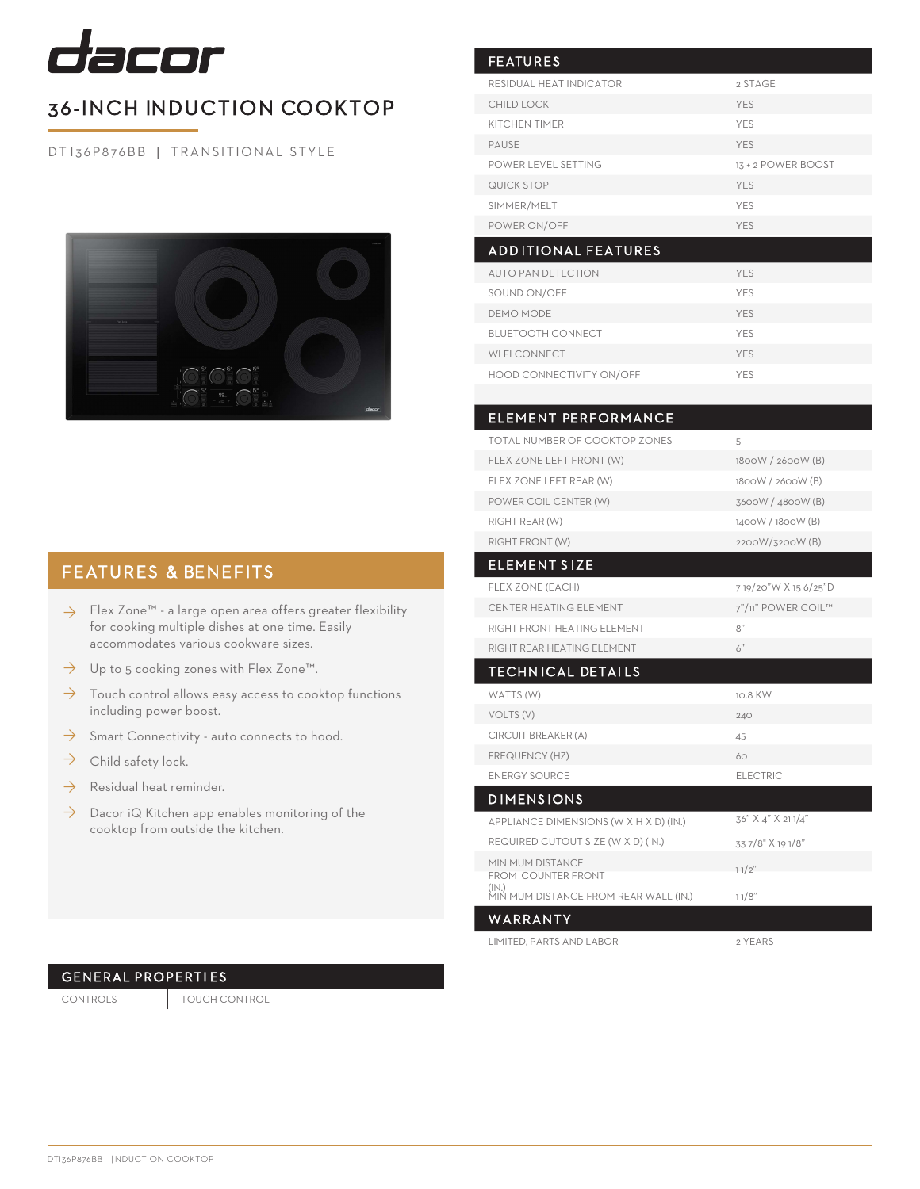

## 36-INCH INDUCTION COOKTOP

DT I 36P876BB | TRANSITIONAL STYLE



## FEATURES & BENEFITS

- $\rightarrow$  Flex Zone™ a large open area offers greater flexibility for cooking multiple dishes at one time. Easily accommodates various cookware sizes.
- Up to 5 cooking zones with Flex Zone™.  $\rightarrow$
- Touch control allows easy access to cooktop functions including power boost. ◊
- Smart Connectivity auto connects to hood.  $\rightarrow$
- Child safety lock.  $\rightarrow$
- Residual heat reminder. ◊
- $\rightarrow$  Dacor iQ Kitchen app enables monitoring of the cooktop from outside the kitchen.

| <b>FEATURES</b>                                |                      |
|------------------------------------------------|----------------------|
| RESIDUAL HEAT INDICATOR                        | 2 STAGE              |
| <b>CHILD LOCK</b>                              | <b>YES</b>           |
| <b>KITCHEN TIMER</b>                           | <b>YES</b>           |
| <b>PAUSE</b>                                   | <b>YES</b>           |
| POWER LEVEL SETTING                            | 13 + 2 POWER BOOST   |
| QUICK STOP                                     | <b>YES</b>           |
| SIMMER/MELT                                    | <b>YES</b>           |
| POWER ON/OFF                                   | <b>YES</b>           |
| <b>ADDITIONAL FEATURES</b>                     |                      |
| <b>AUTO PAN DETECTION</b>                      | <b>YES</b>           |
| SOUND ON/OFF                                   | <b>YES</b>           |
| <b>DEMO MODE</b>                               | <b>YES</b>           |
| <b>BLUETOOTH CONNECT</b>                       | <b>YES</b>           |
| WI FI CONNECT                                  | <b>YES</b>           |
| HOOD CONNECTIVITY ON/OFF                       | <b>YES</b>           |
|                                                |                      |
| <b>ELEMENT PERFORMANCE</b>                     |                      |
| TOTAL NUMBER OF COOKTOP ZONES                  | 5                    |
| FLEX ZONE LEFT FRONT (W)                       | 1800W / 2600W (B)    |
| FLEX ZONE LEFT REAR (W)                        | 1800W / 2600W (B)    |
| POWER COIL CENTER (W)                          | 3600W / 4800W (B)    |
| RIGHT REAR (W)                                 | 1400W / 1800W (B)    |
| RIGHT FRONT (W)                                | 2200W/3200W (B)      |
| <b>ELEMENT SIZE</b>                            |                      |
| FLEX ZONE (EACH)                               | 719/20"W X 15 6/25"D |
| CENTER HEATING ELEMENT                         | 7"/11" POWER COIL™   |
| RIGHT FRONT HEATING ELEMENT                    | 8"                   |
| RIGHT REAR HEATING ELEMENT                     | 6"                   |
| <b>TECHNICAL DETAILS</b>                       |                      |
| WATTS (W)                                      | 10.8 KW              |
| VOLTS (V)                                      | 240                  |
| CIRCUIT BREAKER (A)                            | 45                   |
| FREQUENCY (HZ)                                 | 60                   |
| <b>ENERGY SOURCE</b>                           | <b>ELECTRIC</b>      |
| <b>DIMENSIONS</b>                              |                      |
|                                                | 36" X 4" X 211/4"    |
| APPLIANCE DIMENSIONS (W X H X D) (IN.)         |                      |
| REQUIRED CUTOUT SIZE (W X D) (IN.)             | 33 7/8" X 19 1/8"    |
| MINIMUM DISTANCE<br>FROM COUNTER FRONT         | 11/2"                |
| (IN.)<br>MINIMUM DISTANCE FROM REAR WALL (IN.) | 11/8"                |
| WARRANTY                                       |                      |
| LIMITED, PARTS AND LABOR                       | 2 YEARS              |

## GENERAL PROPERTI ES

CONTROLS TOUCH CONTROL